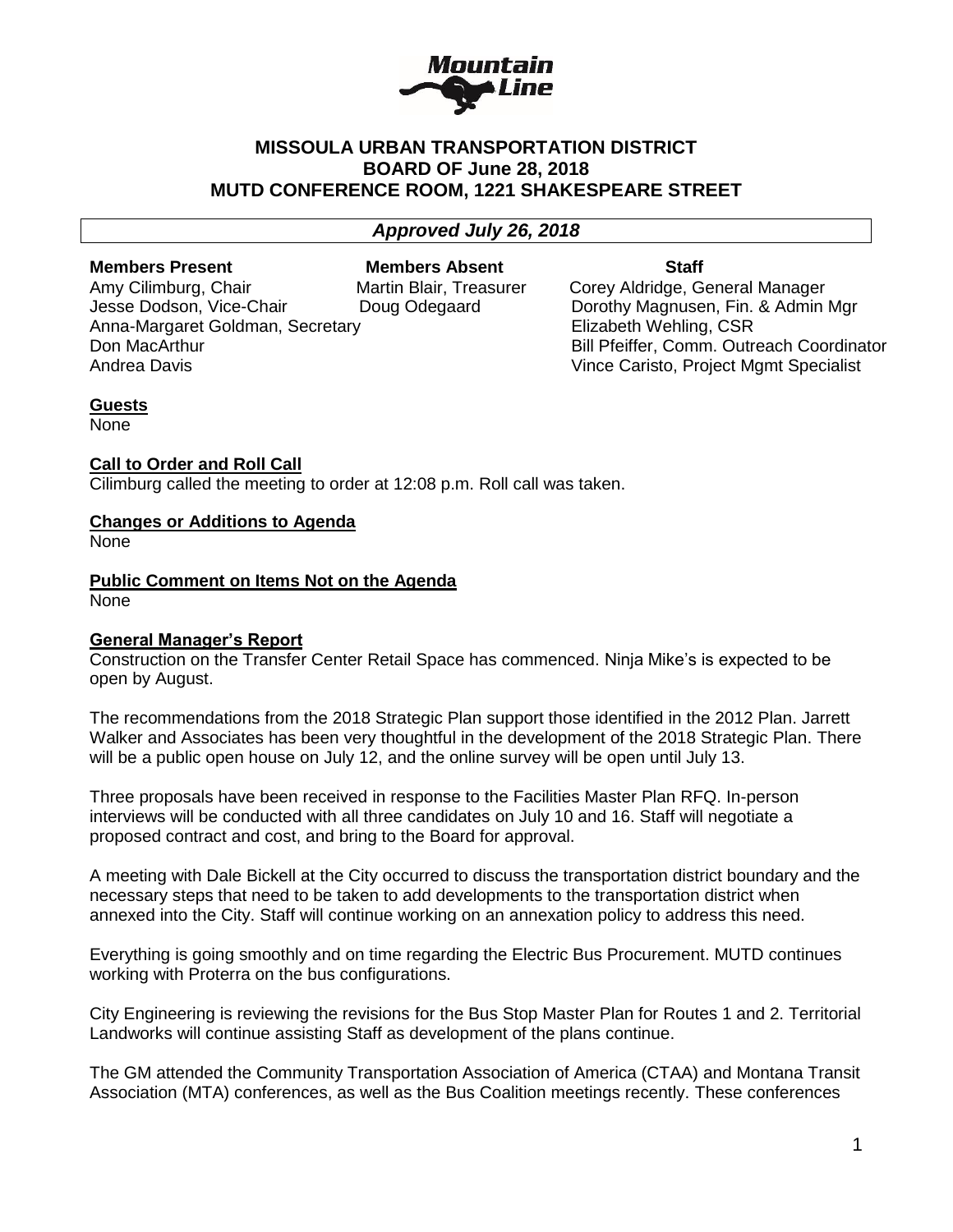

# **MISSOULA URBAN TRANSPORTATION DISTRICT BOARD OF June 28, 2018 MUTD CONFERENCE ROOM, 1221 SHAKESPEARE STREET**

# *Approved July 26, 2018*

**Members Present Members Absent Staff** 

Amy Cilimburg, Chair **Martin Blair, Treasurer** Corey Aldridge, General Manager Jesse Dodson, Vice-Chair Doug Odegaard Dorothy Magnusen, Fin. & Admin Mgr Anna-Margaret Goldman, Secretary **Elizabeth Wehling, CSR** Don MacArthur Bill Pfeiffer, Comm. Outreach Coordinator Andrea Davis Vince Caristo, Project Mgmt Specialist

#### **Guests**

None

#### **Call to Order and Roll Call**

Cilimburg called the meeting to order at 12:08 p.m. Roll call was taken.

### **Changes or Additions to Agenda**

None

#### **Public Comment on Items Not on the Agenda** None

# **General Manager's Report**

Construction on the Transfer Center Retail Space has commenced. Ninja Mike's is expected to be open by August.

The recommendations from the 2018 Strategic Plan support those identified in the 2012 Plan. Jarrett Walker and Associates has been very thoughtful in the development of the 2018 Strategic Plan. There will be a public open house on July 12, and the online survey will be open until July 13.

Three proposals have been received in response to the Facilities Master Plan RFQ. In-person interviews will be conducted with all three candidates on July 10 and 16. Staff will negotiate a proposed contract and cost, and bring to the Board for approval.

A meeting with Dale Bickell at the City occurred to discuss the transportation district boundary and the necessary steps that need to be taken to add developments to the transportation district when annexed into the City. Staff will continue working on an annexation policy to address this need.

Everything is going smoothly and on time regarding the Electric Bus Procurement. MUTD continues working with Proterra on the bus configurations.

City Engineering is reviewing the revisions for the Bus Stop Master Plan for Routes 1 and 2. Territorial Landworks will continue assisting Staff as development of the plans continue.

The GM attended the Community Transportation Association of America (CTAA) and Montana Transit Association (MTA) conferences, as well as the Bus Coalition meetings recently. These conferences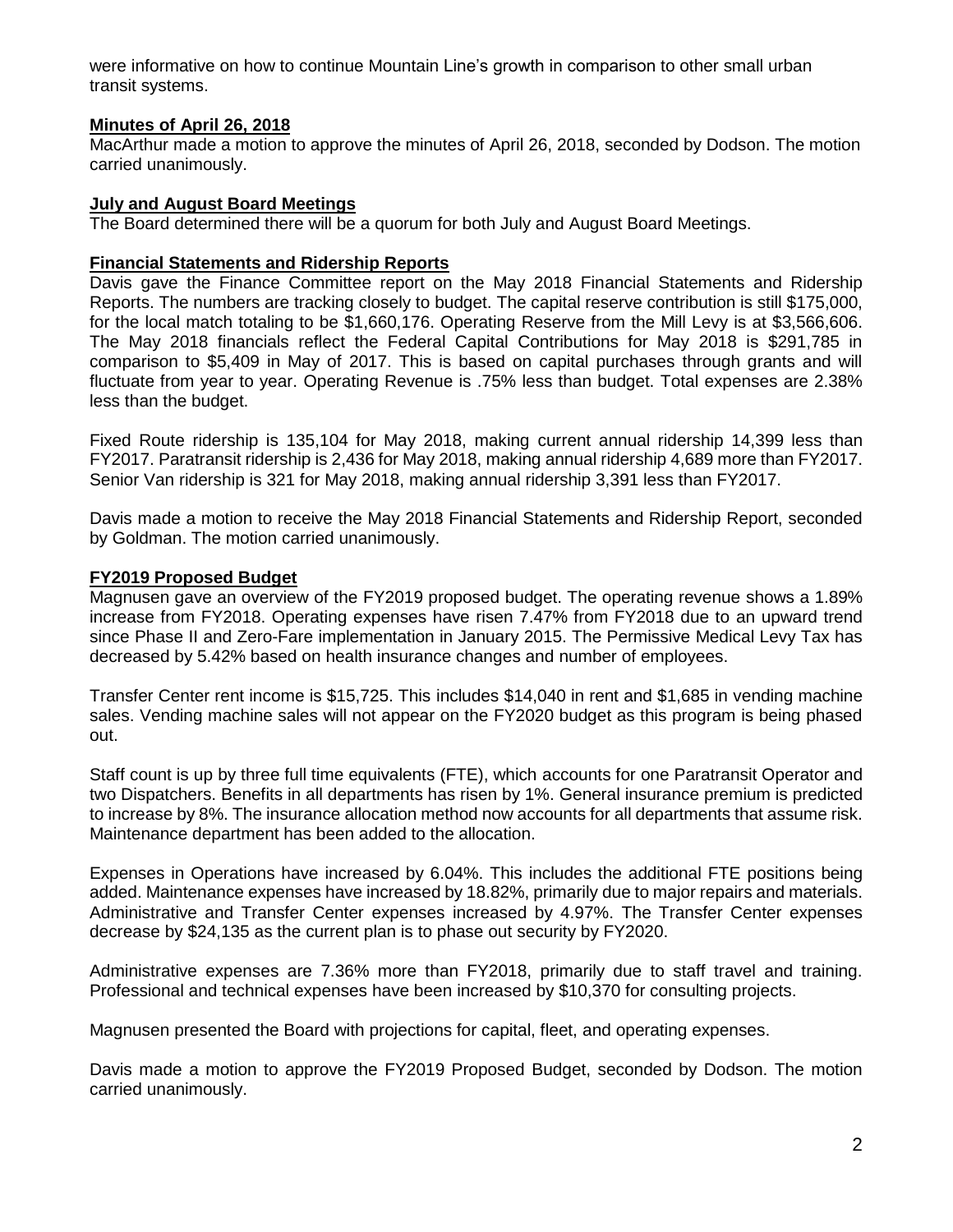were informative on how to continue Mountain Line's growth in comparison to other small urban transit systems.

# **Minutes of April 26, 2018**

MacArthur made a motion to approve the minutes of April 26, 2018, seconded by Dodson. The motion carried unanimously.

### **July and August Board Meetings**

The Board determined there will be a quorum for both July and August Board Meetings.

### **Financial Statements and Ridership Reports**

Davis gave the Finance Committee report on the May 2018 Financial Statements and Ridership Reports. The numbers are tracking closely to budget. The capital reserve contribution is still \$175,000, for the local match totaling to be \$1,660,176. Operating Reserve from the Mill Levy is at \$3,566,606. The May 2018 financials reflect the Federal Capital Contributions for May 2018 is \$291,785 in comparison to \$5,409 in May of 2017. This is based on capital purchases through grants and will fluctuate from year to year. Operating Revenue is .75% less than budget. Total expenses are 2.38% less than the budget.

Fixed Route ridership is 135,104 for May 2018, making current annual ridership 14,399 less than FY2017. Paratransit ridership is 2,436 for May 2018, making annual ridership 4,689 more than FY2017. Senior Van ridership is 321 for May 2018, making annual ridership 3,391 less than FY2017.

Davis made a motion to receive the May 2018 Financial Statements and Ridership Report, seconded by Goldman. The motion carried unanimously.

### **FY2019 Proposed Budget**

Magnusen gave an overview of the FY2019 proposed budget. The operating revenue shows a 1.89% increase from FY2018. Operating expenses have risen 7.47% from FY2018 due to an upward trend since Phase II and Zero-Fare implementation in January 2015. The Permissive Medical Levy Tax has decreased by 5.42% based on health insurance changes and number of employees.

Transfer Center rent income is \$15,725. This includes \$14,040 in rent and \$1,685 in vending machine sales. Vending machine sales will not appear on the FY2020 budget as this program is being phased out.

Staff count is up by three full time equivalents (FTE), which accounts for one Paratransit Operator and two Dispatchers. Benefits in all departments has risen by 1%. General insurance premium is predicted to increase by 8%. The insurance allocation method now accounts for all departments that assume risk. Maintenance department has been added to the allocation.

Expenses in Operations have increased by 6.04%. This includes the additional FTE positions being added. Maintenance expenses have increased by 18.82%, primarily due to major repairs and materials. Administrative and Transfer Center expenses increased by 4.97%. The Transfer Center expenses decrease by \$24,135 as the current plan is to phase out security by FY2020.

Administrative expenses are 7.36% more than FY2018, primarily due to staff travel and training. Professional and technical expenses have been increased by \$10,370 for consulting projects.

Magnusen presented the Board with projections for capital, fleet, and operating expenses.

Davis made a motion to approve the FY2019 Proposed Budget, seconded by Dodson. The motion carried unanimously.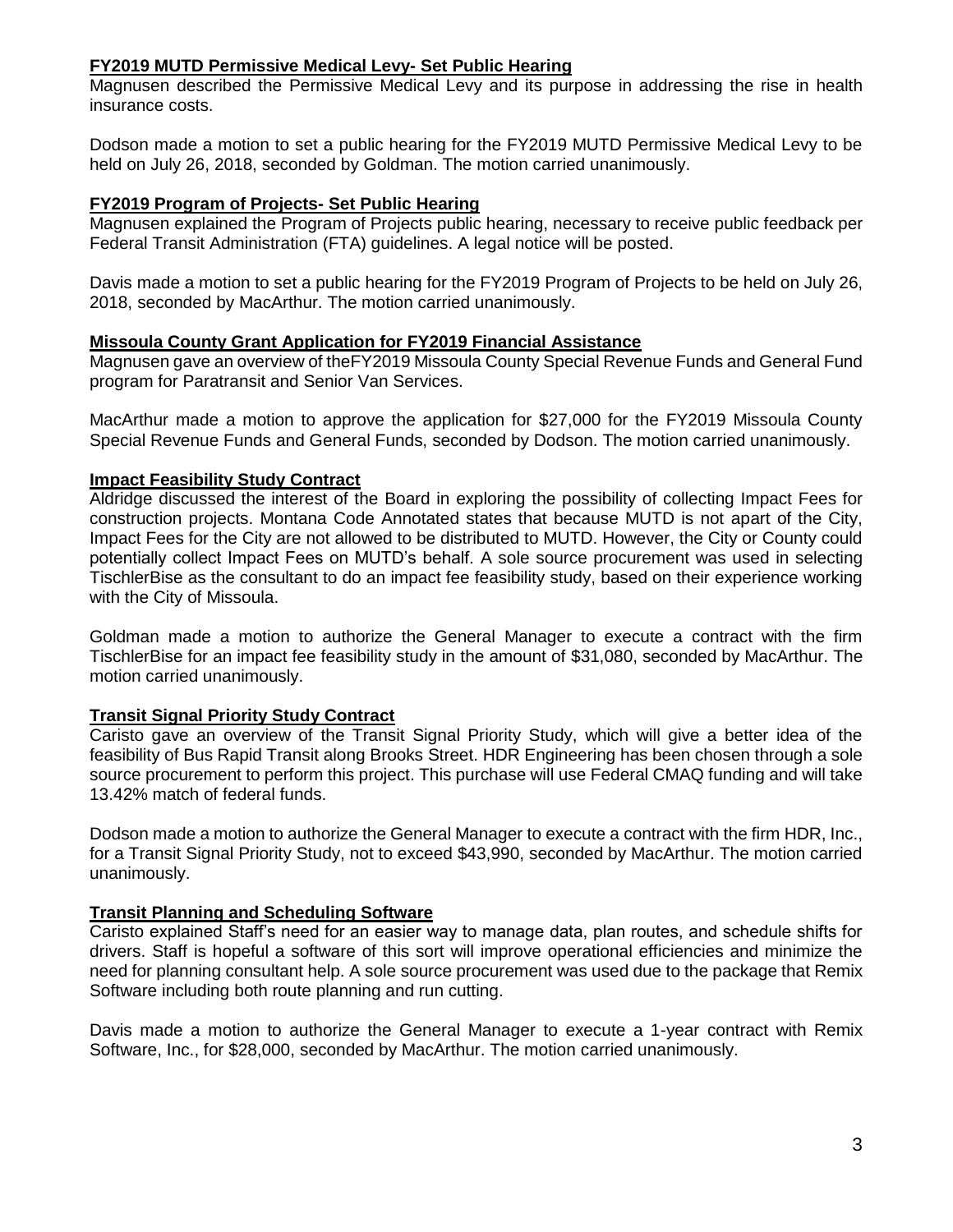# **FY2019 MUTD Permissive Medical Levy- Set Public Hearing**

Magnusen described the Permissive Medical Levy and its purpose in addressing the rise in health insurance costs.

Dodson made a motion to set a public hearing for the FY2019 MUTD Permissive Medical Levy to be held on July 26, 2018, seconded by Goldman. The motion carried unanimously.

### **FY2019 Program of Projects- Set Public Hearing**

Magnusen explained the Program of Projects public hearing, necessary to receive public feedback per Federal Transit Administration (FTA) guidelines. A legal notice will be posted.

Davis made a motion to set a public hearing for the FY2019 Program of Projects to be held on July 26, 2018, seconded by MacArthur. The motion carried unanimously.

### **Missoula County Grant Application for FY2019 Financial Assistance**

Magnusen gave an overview of theFY2019 Missoula County Special Revenue Funds and General Fund program for Paratransit and Senior Van Services.

MacArthur made a motion to approve the application for \$27,000 for the FY2019 Missoula County Special Revenue Funds and General Funds, seconded by Dodson. The motion carried unanimously.

### **Impact Feasibility Study Contract**

Aldridge discussed the interest of the Board in exploring the possibility of collecting Impact Fees for construction projects. Montana Code Annotated states that because MUTD is not apart of the City, Impact Fees for the City are not allowed to be distributed to MUTD. However, the City or County could potentially collect Impact Fees on MUTD's behalf. A sole source procurement was used in selecting TischlerBise as the consultant to do an impact fee feasibility study, based on their experience working with the City of Missoula.

Goldman made a motion to authorize the General Manager to execute a contract with the firm TischlerBise for an impact fee feasibility study in the amount of \$31,080, seconded by MacArthur. The motion carried unanimously.

# **Transit Signal Priority Study Contract**

Caristo gave an overview of the Transit Signal Priority Study, which will give a better idea of the feasibility of Bus Rapid Transit along Brooks Street. HDR Engineering has been chosen through a sole source procurement to perform this project. This purchase will use Federal CMAQ funding and will take 13.42% match of federal funds.

Dodson made a motion to authorize the General Manager to execute a contract with the firm HDR, Inc., for a Transit Signal Priority Study, not to exceed \$43,990, seconded by MacArthur. The motion carried unanimously.

#### **Transit Planning and Scheduling Software**

Caristo explained Staff's need for an easier way to manage data, plan routes, and schedule shifts for drivers. Staff is hopeful a software of this sort will improve operational efficiencies and minimize the need for planning consultant help. A sole source procurement was used due to the package that Remix Software including both route planning and run cutting.

Davis made a motion to authorize the General Manager to execute a 1-year contract with Remix Software, Inc., for \$28,000, seconded by MacArthur. The motion carried unanimously.